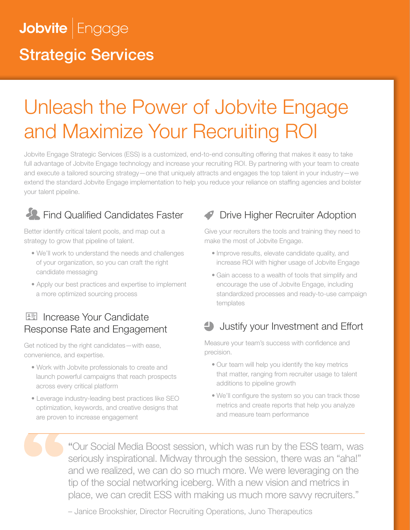## Jobvite Engage Strategic Services

# Unleash the Power of Jobvite Engage and Maximize Your Recruiting ROI

Jobvite Engage Strategic Services (ESS) is a customized, end-to-end consulting offering that makes it easy to take full advantage of Jobvite Engage technology and increase your recruiting ROI. By partnering with your team to create and execute a tailored sourcing strategy—one that uniquely attracts and engages the top talent in your industry—we extend the standard Jobvite Engage implementation to help you reduce your reliance on staffing agencies and bolster your talent pipeline.

## **Find Qualified Candidates Faster**

Better identify critical talent pools, and map out a strategy to grow that pipeline of talent.

- We'll work to understand the needs and challenges of your organization, so you can craft the right candidate messaging
- Apply our best practices and expertise to implement a more optimized sourcing process

### **IE Increase Your Candidate** Response Rate and Engagement

Get noticed by the right candidates—with ease, convenience, and expertise.

- Work with Jobvite professionals to create and launch powerful campaigns that reach prospects across every critical platform
- Leverage industry-leading best practices like SEO optimization, keywords, and creative designs that are proven to increase engagement

### Drive Higher Recruiter Adoption

Give your recruiters the tools and training they need to make the most of Jobvite Engage.

- Improve results, elevate candidate quality, and increase ROI with higher usage of Jobvite Engage
- Gain access to a wealth of tools that simplify and encourage the use of Jobvite Engage, including standardized processes and ready-to-use campaign templates

## Justify your Investment and Effort

Measure your team's success with confidence and precision.

- Our team will help you identify the key metrics that matter, ranging from recruiter usage to talent additions to pipeline growth
- We'll configure the system so you can track those metrics and create reports that help you analyze and measure team performance

"Our Social Media Boost session, which was run by the ESS team, was seriously inspirational. Midway through the session, there was an "aha!" and we realized, we can do so much more. We were leveraging on the tip of the social networking iceberg. With a new vision and metrics in place, we can credit ESS with making us much more savvy recruiters."

– Janice Brookshier, Director Recruiting Operations, Juno Therapeutics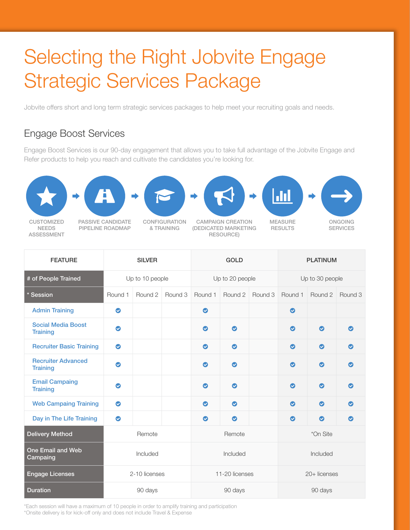# Selecting the Right Jobvite Engage Strategic Services Package

Jobvite offers short and long term strategic services packages to help meet your recruiting goals and needs.

#### Engage Boost Services

Engage Boost Services is our 90-day engagement that allows you to take full advantage of the Jobvite Engage and Refer products to help you reach and cultivate the candidates you're looking for.







CUSTOMIZED NEEDS ASSESSMENT

PASSIVE CANDIDATE PIPELINE ROADMAP

CONFIGURATION & TRAINING



CAMPAIGN CREATION (DEDICATED MARKETING RESOURCE)



RESULTS



ONGOING **SERVICES** 

| <b>FEATURE</b>                               | <b>SILVER</b>   |         |         | <b>GOLD</b>     |           |         | <b>PLATINUM</b> |           |           |
|----------------------------------------------|-----------------|---------|---------|-----------------|-----------|---------|-----------------|-----------|-----------|
| # of People Trained                          | Up to 10 people |         |         | Up to 20 people |           |         | Up to 30 people |           |           |
| * Session                                    | Round 1         | Round 2 | Round 3 | Round 1         | Round 2   | Round 3 | Round 1         | Round 2   | Round 3   |
| <b>Admin Training</b>                        | $\bullet$       |         |         | $\bullet$       |           |         | $\bullet$       |           |           |
| <b>Social Media Boost</b><br><b>Training</b> | $\bullet$       |         |         | $\bullet$       | $\bullet$ |         | $\bullet$       | ◙         | ∞         |
| <b>Recruiter Basic Training</b>              | $\bullet$       |         |         | $\bullet$       | $\bullet$ |         | $\bullet$       | $\bullet$ | $\bullet$ |
| <b>Recruiter Advanced</b><br><b>Training</b> | $\bullet$       |         |         | $\bullet$       | $\bullet$ |         | $\bullet$       | $\bullet$ | ◎         |
| <b>Email Campaing</b><br><b>Training</b>     | ◎               |         |         | $\bullet$       | $\bullet$ |         | $\bullet$       | $\bullet$ | ⊙         |
| <b>Web Campaing Training</b>                 | $\bullet$       |         |         | $\bullet$       | $\bullet$ |         | $\bullet$       | $\bullet$ | ◎         |
| Day in The Life Training                     | $\bullet$       |         |         | $\bullet$       | $\bullet$ |         | $\bullet$       | $\bullet$ | $\bullet$ |
| <b>Delivery Method</b>                       | Remote          |         |         | Remote          |           |         | *On Site        |           |           |
| <b>One Email and Web</b><br>Campaing         | Included        |         |         | Included        |           |         | Included        |           |           |
| <b>Engage Licenses</b>                       | 2-10 licenses   |         |         | 11-20 licenses  |           |         | $20 +$ licenses |           |           |
| <b>Duration</b>                              | 90 days         |         |         | 90 days         |           |         | 90 days         |           |           |

\*Each session will have a maximum of 10 people in order to amplify training and participation \*Onsite delivery is for kick-off only and does not include Travel & Expense